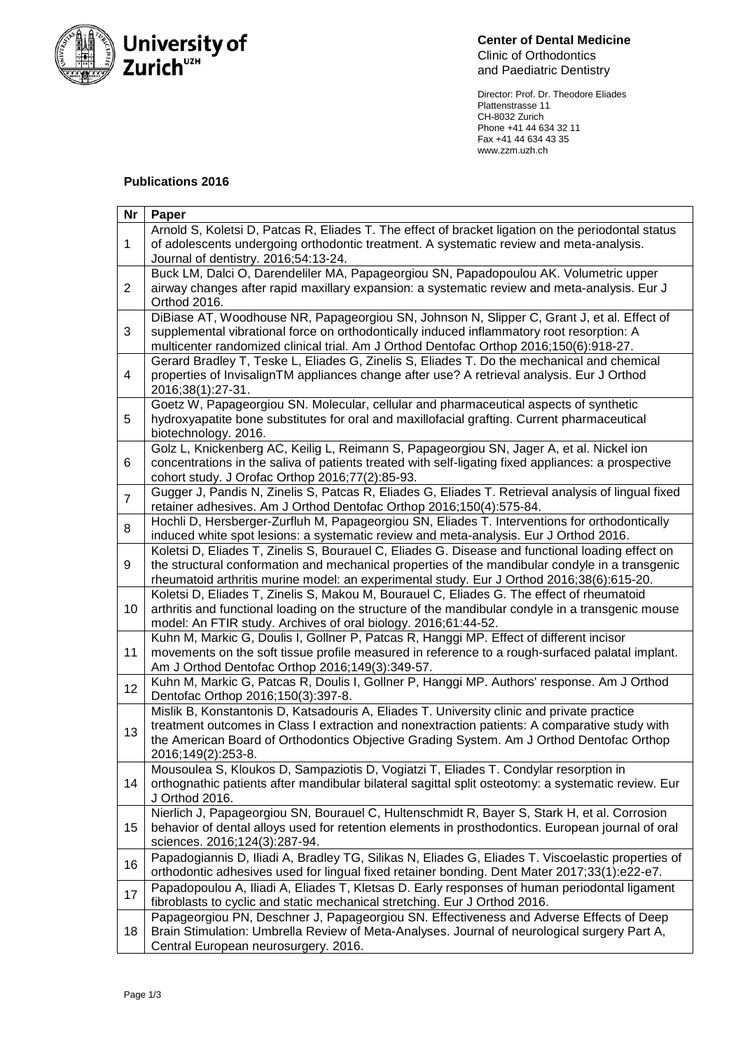

**Center of Dental Medicine** Clinic of Orthodontics and Paediatric Dentistry

Director: Prof. Dr. Theodore Eliades Plattenstrasse 11 CH-8032 Zurich Phone +41 44 634 32 11 Fax +41 44 634 43 35 www.zzm.uzh.ch

## **Publications 2016**

| <b>Nr</b>      | Paper                                                                                                                                                                                                                                                                                                         |
|----------------|---------------------------------------------------------------------------------------------------------------------------------------------------------------------------------------------------------------------------------------------------------------------------------------------------------------|
| $\mathbf{1}$   | Arnold S, Koletsi D, Patcas R, Eliades T. The effect of bracket ligation on the periodontal status<br>of adolescents undergoing orthodontic treatment. A systematic review and meta-analysis.<br>Journal of dentistry. 2016;54:13-24.                                                                         |
| $\overline{2}$ | Buck LM, Dalci O, Darendeliler MA, Papageorgiou SN, Papadopoulou AK. Volumetric upper<br>airway changes after rapid maxillary expansion: a systematic review and meta-analysis. Eur J<br>Orthod 2016.                                                                                                         |
| 3              | DiBiase AT, Woodhouse NR, Papageorgiou SN, Johnson N, Slipper C, Grant J, et al. Effect of<br>supplemental vibrational force on orthodontically induced inflammatory root resorption: A<br>multicenter randomized clinical trial. Am J Orthod Dentofac Orthop 2016;150(6):918-27.                             |
| 4              | Gerard Bradley T, Teske L, Eliades G, Zinelis S, Eliades T. Do the mechanical and chemical<br>properties of InvisalignTM appliances change after use? A retrieval analysis. Eur J Orthod<br>2016;38(1):27-31.                                                                                                 |
| 5              | Goetz W, Papageorgiou SN. Molecular, cellular and pharmaceutical aspects of synthetic<br>hydroxyapatite bone substitutes for oral and maxillofacial grafting. Current pharmaceutical<br>biotechnology. 2016.                                                                                                  |
| 6              | Golz L, Knickenberg AC, Keilig L, Reimann S, Papageorgiou SN, Jager A, et al. Nickel ion<br>concentrations in the saliva of patients treated with self-ligating fixed appliances: a prospective<br>cohort study. J Orofac Orthop 2016;77(2):85-93.                                                            |
| $\overline{7}$ | Gugger J, Pandis N, Zinelis S, Patcas R, Eliades G, Eliades T. Retrieval analysis of lingual fixed<br>retainer adhesives. Am J Orthod Dentofac Orthop 2016;150(4):575-84.                                                                                                                                     |
| 8              | Hochli D, Hersberger-Zurfluh M, Papageorgiou SN, Eliades T. Interventions for orthodontically<br>induced white spot lesions: a systematic review and meta-analysis. Eur J Orthod 2016.                                                                                                                        |
| 9              | Koletsi D, Eliades T, Zinelis S, Bourauel C, Eliades G. Disease and functional loading effect on<br>the structural conformation and mechanical properties of the mandibular condyle in a transgenic<br>rheumatoid arthritis murine model: an experimental study. Eur J Orthod 2016;38(6):615-20.              |
| 10             | Koletsi D, Eliades T, Zinelis S, Makou M, Bourauel C, Eliades G. The effect of rheumatoid<br>arthritis and functional loading on the structure of the mandibular condyle in a transgenic mouse<br>model: An FTIR study. Archives of oral biology. 2016;61:44-52.                                              |
| 11             | Kuhn M, Markic G, Doulis I, Gollner P, Patcas R, Hanggi MP. Effect of different incisor<br>movements on the soft tissue profile measured in reference to a rough-surfaced palatal implant.<br>Am J Orthod Dentofac Orthop 2016;149(3):349-57.                                                                 |
| 12             | Kuhn M, Markic G, Patcas R, Doulis I, Gollner P, Hanggi MP. Authors' response. Am J Orthod<br>Dentofac Orthop 2016;150(3):397-8.                                                                                                                                                                              |
| 13             | Mislik B, Konstantonis D, Katsadouris A, Eliades T. University clinic and private practice<br>treatment outcomes in Class I extraction and nonextraction patients: A comparative study with<br>the American Board of Orthodontics Objective Grading System. Am J Orthod Dentofac Orthop<br>2016;149(2):253-8. |
| 14             | Mousoulea S, Kloukos D, Sampaziotis D, Vogiatzi T, Eliades T. Condylar resorption in<br>orthognathic patients after mandibular bilateral sagittal split osteotomy: a systematic review. Eur<br>J Orthod 2016.                                                                                                 |
| 15             | Nierlich J, Papageorgiou SN, Bourauel C, Hultenschmidt R, Bayer S, Stark H, et al. Corrosion<br>behavior of dental alloys used for retention elements in prosthodontics. European journal of oral<br>sciences. 2016;124(3):287-94.                                                                            |
| 16             | Papadogiannis D, Iliadi A, Bradley TG, Silikas N, Eliades G, Eliades T. Viscoelastic properties of<br>orthodontic adhesives used for lingual fixed retainer bonding. Dent Mater 2017;33(1):e22-e7.                                                                                                            |
| 17             | Papadopoulou A, Iliadi A, Eliades T, Kletsas D. Early responses of human periodontal ligament<br>fibroblasts to cyclic and static mechanical stretching. Eur J Orthod 2016.                                                                                                                                   |
| 18             | Papageorgiou PN, Deschner J, Papageorgiou SN. Effectiveness and Adverse Effects of Deep<br>Brain Stimulation: Umbrella Review of Meta-Analyses. Journal of neurological surgery Part A,<br>Central European neurosurgery. 2016.                                                                               |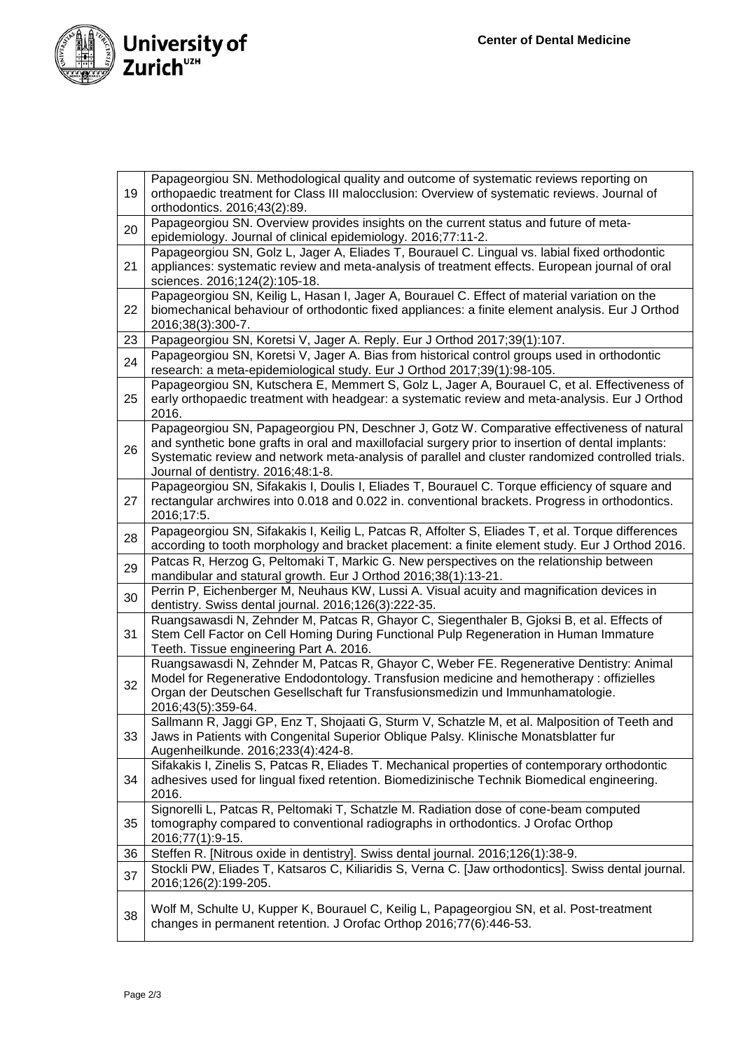

| 19 | Papageorgiou SN. Methodological quality and outcome of systematic reviews reporting on<br>orthopaedic treatment for Class III malocclusion: Overview of systematic reviews. Journal of                                                                                                                                                      |
|----|---------------------------------------------------------------------------------------------------------------------------------------------------------------------------------------------------------------------------------------------------------------------------------------------------------------------------------------------|
| 20 | orthodontics. 2016;43(2):89.<br>Papageorgiou SN. Overview provides insights on the current status and future of meta-                                                                                                                                                                                                                       |
|    | epidemiology. Journal of clinical epidemiology. 2016;77:11-2.                                                                                                                                                                                                                                                                               |
| 21 | Papageorgiou SN, Golz L, Jager A, Eliades T, Bourauel C. Lingual vs. labial fixed orthodontic<br>appliances: systematic review and meta-analysis of treatment effects. European journal of oral<br>sciences. 2016;124(2):105-18.                                                                                                            |
| 22 | Papageorgiou SN, Keilig L, Hasan I, Jager A, Bourauel C. Effect of material variation on the<br>biomechanical behaviour of orthodontic fixed appliances: a finite element analysis. Eur J Orthod<br>2016;38(3):300-7.                                                                                                                       |
| 23 | Papageorgiou SN, Koretsi V, Jager A. Reply. Eur J Orthod 2017;39(1):107.                                                                                                                                                                                                                                                                    |
| 24 | Papageorgiou SN, Koretsi V, Jager A. Bias from historical control groups used in orthodontic<br>research: a meta-epidemiological study. Eur J Orthod 2017;39(1):98-105.                                                                                                                                                                     |
| 25 | Papageorgiou SN, Kutschera E, Memmert S, Golz L, Jager A, Bourauel C, et al. Effectiveness of<br>early orthopaedic treatment with headgear: a systematic review and meta-analysis. Eur J Orthod<br>2016.                                                                                                                                    |
| 26 | Papageorgiou SN, Papageorgiou PN, Deschner J, Gotz W. Comparative effectiveness of natural<br>and synthetic bone grafts in oral and maxillofacial surgery prior to insertion of dental implants:<br>Systematic review and network meta-analysis of parallel and cluster randomized controlled trials.<br>Journal of dentistry. 2016;48:1-8. |
| 27 | Papageorgiou SN, Sifakakis I, Doulis I, Eliades T, Bourauel C. Torque efficiency of square and<br>rectangular archwires into 0.018 and 0.022 in. conventional brackets. Progress in orthodontics.<br>2016;17:5.                                                                                                                             |
| 28 | Papageorgiou SN, Sifakakis I, Keilig L, Patcas R, Affolter S, Eliades T, et al. Torque differences<br>according to tooth morphology and bracket placement: a finite element study. Eur J Orthod 2016.                                                                                                                                       |
| 29 | Patcas R, Herzog G, Peltomaki T, Markic G. New perspectives on the relationship between<br>mandibular and statural growth. Eur J Orthod 2016;38(1):13-21.                                                                                                                                                                                   |
| 30 | Perrin P, Eichenberger M, Neuhaus KW, Lussi A. Visual acuity and magnification devices in<br>dentistry. Swiss dental journal. 2016;126(3):222-35.                                                                                                                                                                                           |
| 31 | Ruangsawasdi N, Zehnder M, Patcas R, Ghayor C, Siegenthaler B, Gjoksi B, et al. Effects of<br>Stem Cell Factor on Cell Homing During Functional Pulp Regeneration in Human Immature<br>Teeth. Tissue engineering Part A. 2016.                                                                                                              |
| 32 | Ruangsawasdi N, Zehnder M, Patcas R, Ghayor C, Weber FE. Regenerative Dentistry: Animal<br>Model for Regenerative Endodontology. Transfusion medicine and hemotherapy: offizielles<br>Organ der Deutschen Gesellschaft fur Transfusionsmedizin und Immunhamatologie.<br>2016;43(5):359-64.                                                  |
| 33 | Sallmann R, Jaggi GP, Enz T, Shojaati G, Sturm V, Schatzle M, et al. Malposition of Teeth and<br>Jaws in Patients with Congenital Superior Oblique Palsy. Klinische Monatsblatter fur<br>Augenheilkunde. 2016;233(4):424-8.                                                                                                                 |
| 34 | Sifakakis I, Zinelis S, Patcas R, Eliades T. Mechanical properties of contemporary orthodontic<br>adhesives used for lingual fixed retention. Biomedizinische Technik Biomedical engineering.<br>2016.                                                                                                                                      |
| 35 | Signorelli L, Patcas R, Peltomaki T, Schatzle M. Radiation dose of cone-beam computed<br>tomography compared to conventional radiographs in orthodontics. J Orofac Orthop<br>2016;77(1):9-15.                                                                                                                                               |
| 36 | Steffen R. [Nitrous oxide in dentistry]. Swiss dental journal. 2016;126(1):38-9.                                                                                                                                                                                                                                                            |
| 37 | Stockli PW, Eliades T, Katsaros C, Kiliaridis S, Verna C. [Jaw orthodontics]. Swiss dental journal.<br>2016;126(2):199-205.                                                                                                                                                                                                                 |
| 38 | Wolf M, Schulte U, Kupper K, Bourauel C, Keilig L, Papageorgiou SN, et al. Post-treatment<br>changes in permanent retention. J Orofac Orthop 2016;77(6):446-53.                                                                                                                                                                             |